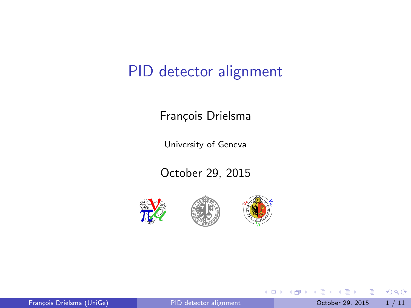#### PID detector alignment

#### François Drielsma

University of Geneva

October 29, 2015







4 日下

4 何 ▶ ÷ 画

 $\sim$  $\rightarrow$   $\equiv$   $\rightarrow$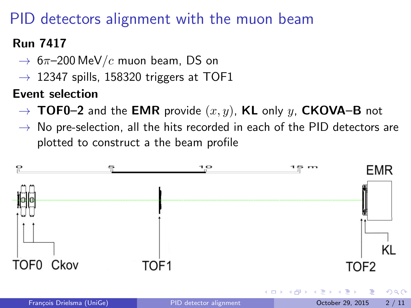## PID detectors alignment with the muon beam

#### Run 7417

- $\rightarrow$  6 $\pi$ –200 MeV/c muon beam, DS on
- $\rightarrow$  12347 spills, 158320 triggers at TOF1

#### Event selection

- $\rightarrow$  TOF0–2 and the EMR provide  $(x, y)$ , KL only y, CKOVA–B not
- $\rightarrow$  No pre-selection, all the hits recorded in each of the PID detectors are plotted to construct a the beam profile

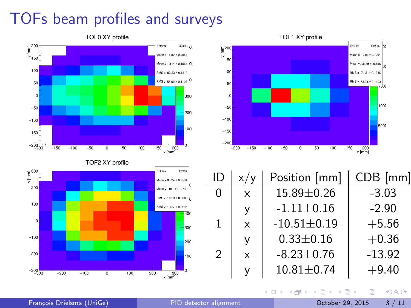# TOFs beam profiles and surveys



| $\overline{\underline{\mathsf{E}}}^{300}$ |                                            | Entries<br>20997                |
|-------------------------------------------|--------------------------------------------|---------------------------------|
|                                           |                                            | Mean x-8.234 ± 0.7584           |
| 200                                       |                                            | n<br>Mean y 10.81± 0.736        |
|                                           |                                            | RMS x 109.9 ± 0.5363 $\sqrt{ }$ |
| 100                                       |                                            | RMS y 106.7 ± 0.5205            |
| $\circ$                                   |                                            | 400<br>300                      |
| $-100$                                    |                                            | 200                             |
| $-200$                                    |                                            | 100                             |
| $-300$<br>-300                            | $-200$<br>$-100$<br>100<br>200<br>$\Omega$ | ٥<br>300<br>$x$ [mm]            |



| ID | x/y          | Position [mm]     | $CDB$ [mm] |
|----|--------------|-------------------|------------|
| 0  | $\mathsf{x}$ | 15.89±0.26        | $-3.03$    |
|    | у            | $-1.11 \pm 0.16$  | $-2.90$    |
| 1  | $\times$     | $-10.51 \pm 0.19$ | $+5.56$    |
|    | ٧            | $0.33 \pm 0.16$   | $+0.36$    |
| 2  | X            | $-8.23 \pm 0.76$  | $-13.92$   |
|    | v            | $10.81 \pm 0.74$  | $+9.40$    |

4 日下

э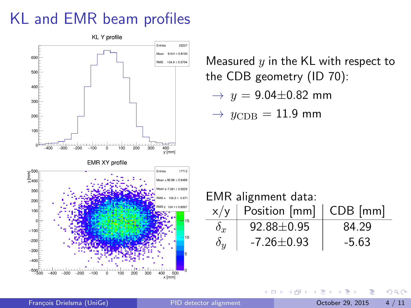### KL and EMR beam profiles



4 0 8

François Drielsma (UniGe) **PID** detector alignment Correspondent October 29, 2015 4 / 11

 $\sim$  $-4$ ≔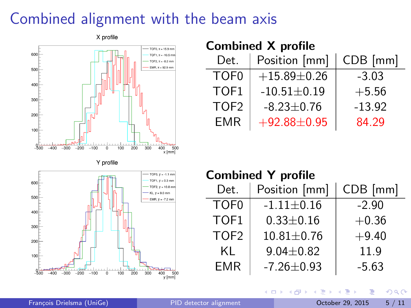### Combined alignment with the beam axis



#### Combined X profile

| Det.             | Position [mm]     | CDB [mm] |
|------------------|-------------------|----------|
| TOF <sub>0</sub> | $+15.89\pm0.26$   | $-3.03$  |
| TOF1             | $-10.51 \pm 0.19$ | $+5.56$  |
| TOF <sub>2</sub> | $-8.23 \pm 0.76$  | $-13.92$ |
| <b>EMR</b>       | $+92.88 + 0.95$   | 84.29    |

#### Combined Y profile

4 0 8

| Det.             | Position [mm]    | $CDB$ [mm] |
|------------------|------------------|------------|
| TOF <sub>0</sub> | $-1.11 \pm 0.16$ | $-2.90$    |
| TOF1             | $0.33 \pm 0.16$  | $+0.36$    |
| TOF <sub>2</sub> | $10.81 \pm 0.76$ | $+9.40$    |
| KL               | $9.04 \pm 0.82$  | 11.9       |
| <b>EMR</b>       | $-7.26 \pm 0.93$ | $-5.63$    |

→←何→ ×. Þ

正々 メラメ

 $QQ$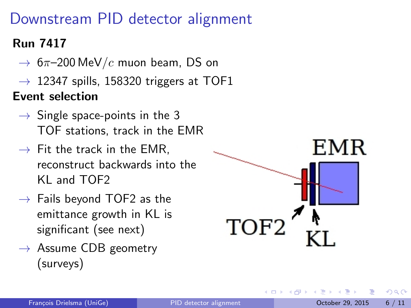## Downstream PID detector alignment

#### Run 7417

- $\rightarrow$  6 $\pi$ –200 MeV/c muon beam, DS on
- $\rightarrow$  12347 spills, 158320 triggers at TOF1

Event selection

- $\rightarrow$  Single space-points in the 3 TOF stations, track in the EMR
- $\rightarrow$  Fit the track in the EMR, reconstruct backwards into the KL and TOF2
- $\rightarrow$  Fails beyond TOF2 as the emittance growth in KL is significant (see next)
- $\rightarrow$  Assume CDB geometry (surveys)



4 D F

 $\Omega$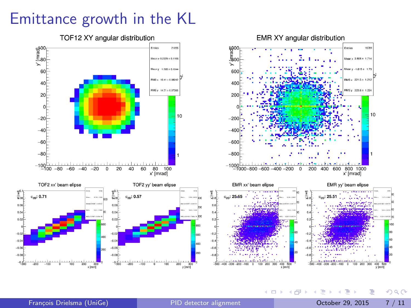### Emittance growth in the KL



TOF12 XY angular distribution

 $y$  [mm]

э

 $299$ 

Entries 16781

200 400 600 800 1000

៊ីនេ

 $\left\{ \begin{array}{ccc} 1 & 0 & 0 \\ 0 & 1 & 0 \end{array} \right.$ 

 $\mathbf 0$ 

 $x$  [mm]

Mean x  $3.808 \pm 1.714$ 

Mean y -1.815 ± 1.73

 $PMS = 221.5 \pm 1.212$ 

RMS y 223.6 ± 1.224

x' [mrad]

EMR vv' beam elipse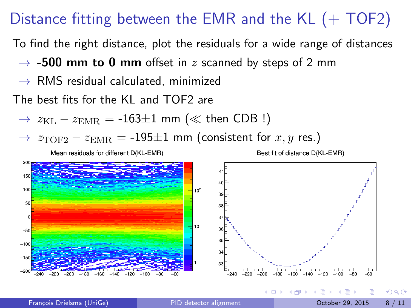### Distance fitting between the EMR and the  $KL$  (+ TOF2)

To find the right distance, plot the residuals for a wide range of distances

- $\rightarrow$  -500 mm to 0 mm offset in z scanned by steps of 2 mm
- $\rightarrow$  RMS residual calculated, minimized

The best fits for the KL and TOF2 are

 $\rightarrow$   $z_{\text{KL}} - z_{\text{EMR}} = -163 \pm 1$  mm ( $\ll$  then CDB !)

 $\rightarrow$   $z_{\text{TOF2}} - z_{\text{EMR}} = -195 \pm 1$  mm (consistent for x, y res.)

Mean residuals for different D(KL-EMR)





 $\Omega$ 

∢ 何 ▶ . ∢ ヨ ▶ . ∢ ヨ

4 D F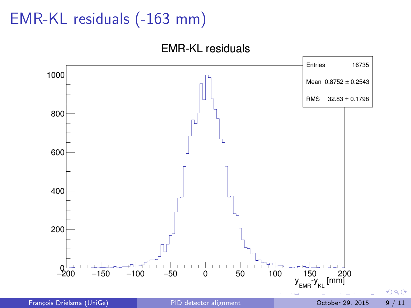## EMR-KL residuals (-163 mm)

**EMR-KL residuals** 



François Drielsma (UniGe) PID detector alignment Cotober 29, 2015 9/11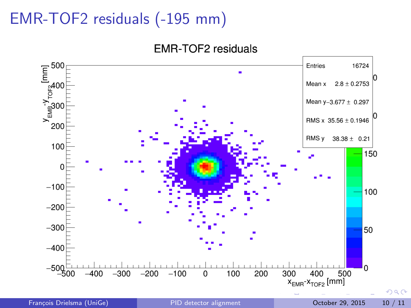# EMR-TOF2 residuals (-195 mm)

**EMR-TOF2** residuals